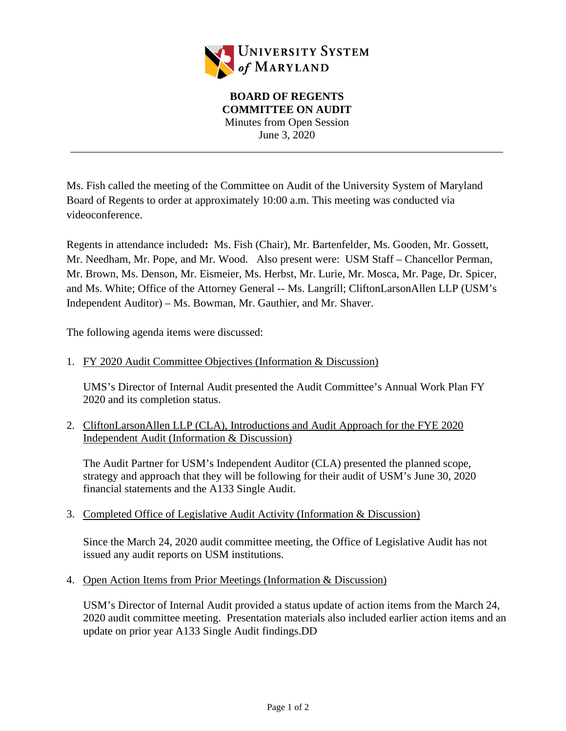

\_\_\_\_\_\_\_\_\_\_\_\_\_\_\_\_\_\_\_\_\_\_\_\_\_\_\_\_\_\_\_\_\_\_\_\_\_\_\_\_\_\_\_\_\_\_\_\_\_\_\_\_\_\_\_\_\_\_\_\_\_\_\_\_\_\_\_\_\_\_\_\_\_\_\_\_\_\_

Ms. Fish called the meeting of the Committee on Audit of the University System of Maryland Board of Regents to order at approximately 10:00 a.m. This meeting was conducted via videoconference.

Regents in attendance included**:** Ms. Fish (Chair), Mr. Bartenfelder, Ms. Gooden, Mr. Gossett, Mr. Needham, Mr. Pope, and Mr. Wood. Also present were: USM Staff – Chancellor Perman, Mr. Brown, Ms. Denson, Mr. Eismeier, Ms. Herbst, Mr. Lurie, Mr. Mosca, Mr. Page, Dr. Spicer, and Ms. White; Office of the Attorney General -- Ms. Langrill; CliftonLarsonAllen LLP (USM's Independent Auditor) – Ms. Bowman, Mr. Gauthier, and Mr. Shaver.

The following agenda items were discussed:

1. FY 2020 Audit Committee Objectives (Information & Discussion)

UMS's Director of Internal Audit presented the Audit Committee's Annual Work Plan FY 2020 and its completion status.

2. CliftonLarsonAllen LLP (CLA), Introductions and Audit Approach for the FYE 2020 Independent Audit (Information & Discussion)

The Audit Partner for USM's Independent Auditor (CLA) presented the planned scope, strategy and approach that they will be following for their audit of USM's June 30, 2020 financial statements and the A133 Single Audit.

3. Completed Office of Legislative Audit Activity (Information & Discussion)

Since the March 24, 2020 audit committee meeting, the Office of Legislative Audit has not issued any audit reports on USM institutions.

4. Open Action Items from Prior Meetings (Information & Discussion)

USM's Director of Internal Audit provided a status update of action items from the March 24, 2020 audit committee meeting. Presentation materials also included earlier action items and an update on prior year A133 Single Audit findings.DD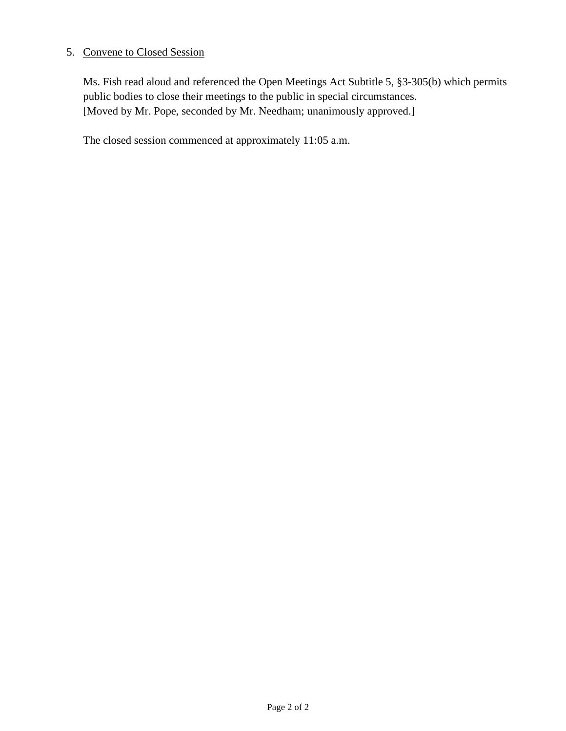## 5. Convene to Closed Session

Ms. Fish read aloud and referenced the Open Meetings Act Subtitle 5, §3-305(b) which permits public bodies to close their meetings to the public in special circumstances. [Moved by Mr. Pope, seconded by Mr. Needham; unanimously approved.]

The closed session commenced at approximately 11:05 a.m.